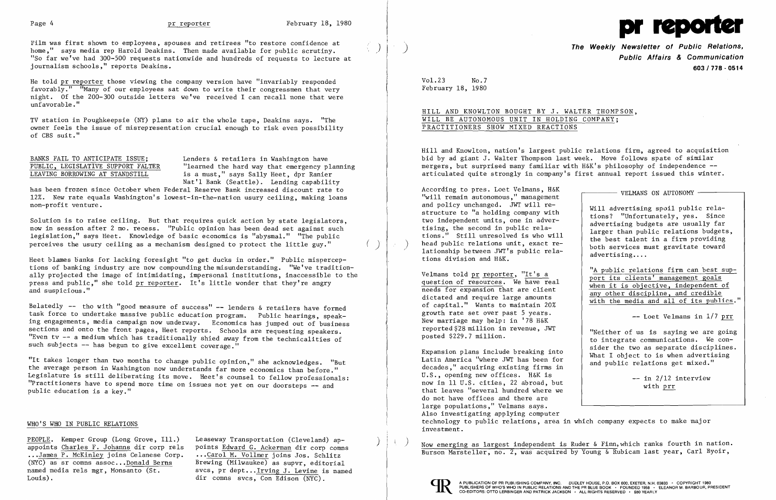

Film was first shown to employees, spouses and retirees "to restore confidence at home," says media rep Harold Deakins. Then made available for public scrutiny. "So far we've had 300-500 requests nationwide and hundreds of requests to lecture at journalism schools," reports Deakins.

He told pr reporter those viewing the company version have "invariably responded favorably." "Many of our employees sat down to write their congressmen that very night. Of the 200-300 outside letters we've received I can recall none that were unfavorable. "

BANKS FAIL TO ANTICIPATE ISSUE;<br>PUBLIC, LEGISLATIVE SUPPORT FALTER "learned the hard way that emergency p. PUBLIC, LEGISLATIVE SUPPORT FALTER "learned the hard way that emergency planning<br>LEAVING BORROWING AT STANDSTILL is a must." says Sally Heet, dpr Ranier is a must," says Sally Heet, dpr Ranier Nat'l Bank (Seattle). Lending capability

Solution is to raise ceiling. But that requires quick action by state legislators, now in session after 2 mo. recess. "Public opinion has been dead set against such legislation," says Heet. Knowledge of basic economics is "abysmal." "The public perceives the usury ceiling as a mechanism designed to protect the little guy."

TV station in Poughkeepsie (NY) plans to air the whole tape, Deakins says. "The owner feels the issue of misrepresentation crucial enough to risk even possibility of CBS suit."

Heet blames banks for lacking foresight "to get ducks in order." Public misperceptions of banking industry are now compounding the misunderstanding. "We've tradition ally projected the image of intimidating, impersonal institutions, inaccessible to the press and public," she told pr reporter. It's little wonder that they're angry and suspicious."

Belatedly -- tho with "good measure of success" -- lenders & retailers have formed task force to undertake massive public education program. Public hearings, speaking engagements, media campaign now underway. Economics has jumped out of business sections and onto the front pages, Heet reports. Schools are requesting speakers. "Even tv -- a medium which has traditionally shied away from the technicalities of such subjects -- has begun to give excellent coverage."

has been frozen since October when Federal Reserve Bank increased discount rate to 12%. New rate equals Washington's 10west-in-the-nation usury ceiling, making loans non-profit venture.

> Expansion plans include breaking into<br>Latin America "where JWT has been for What I object to is when advertising<br>decades," acquiring existing firms in U.S., opening new offices. H&K is  $\begin{array}{ccc} -\text{ in } 2/12 \text{ interview} \end{array}$ now in 11 U.S. cities, 22 abroad, but  $\begin{array}{c|c}\n\text{not} & \text{with } \text{prr} \\
> \text{that leaves "several hundred where we\n\end{array}$ do not have offices and there are large populations," Velmans says. Also investigating applying computer technology to public relations, area in which company expects to make major investment.

PEOPLE. Kemper Group (Long Grove, Ill.) Leaseway Transportation (Cleveland) ap-<br>appoints Charles F. Johanns dir corp rels points Edward G. Ackerman dir corp comms<br>...James P. McKinley joins Celanese Corp. ...Carol M. Vollm



"It takes longer than two months to change public opinion," she acknowledges. "But the average person in Washington now understands far more economics than before." Legislature is still deliberating its move. Heet's counsel to fellow professionals: "Practitioners have to spend more time on issues not yet on our doorsteps -- and public education is a key."

## WHO'S WHO IN PUBLIC RELATIONS

(NYC) as sr comns assoc... Donald Berns Brewing (Milwaukee) as supvr, editorial named media rels mgr, Monsanto (St.  $s$ ycs, pr dept... Irving J. Levine is named named media rels mgr, Monsanto (St. svcs, pr dept... Irving J. Levine is named<br>Louis). dir comns svcs, Con Edison (NYC).

) **The Weekly Newsletter of Public Relations, Public Affairs & Communication 603/778·0514** 

Ve1mans told <u>pr reporter</u>, "It's a<br>question of resources. We have real needs for expansion that are client<br>dictated and require large amounts distinguished in the need of needs for expansion that are client<br>in the solid p

Vo1.23 No.7 February 18, 1980

HILL AND KNOWLTON BOUGHT BY J. WALTER THOMPSON, WILL BE AUTONOMOUS UNIT IN HOLDING COMPANY; PRACTITIONERS SHOW MIXED REACTIONS

Hill and Knowlton, nation's largest public relations firm, agreed to acquisition bid by ad giant J. Walter Thompson last week. Move follows spate of similar mergers, but surprised many familiar with H&K's philosophy of independence articulated quite strongly in company's first annual report issued this winter.

According to pres. Loet Velmans, H&K<br>"will remain autonomous," management and policy unchanged. JWT will re-<br>structure to "a holding company with tions? "Unfortunately, ves. Since structure to "a holding company with<br>two independent units, one in adver-<br>advertising budgets are usually far two independent units, one in adver-<br>tising, the second in public rela-<br>tions." Still unresolved is who will<br>head public relations unit, exact re-<br>lationship between JWT's public rela-<br>tions division and H&K.<br>tions divisio

anceated and require large amounts<br>of capital." Wants to maintain 20% with the media and all of its publics."<br>growth rate set over past 5 years. growth rate set over past 5 years.<br>New marriage may help: in '78 H&K -- Loet Velmans in 1/7 prr<br>reported \$28 million in revenue. JWT -- Presence of the control of the control of the control of the control o

I

reported \$28 million in revenue, Jwidther of us is saying we are going<br>posted \$229.7 million.<br>sider the two as separate disciplines.